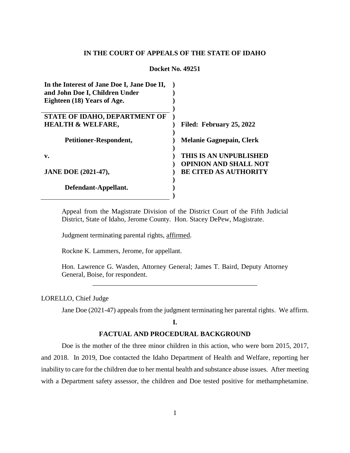## **IN THE COURT OF APPEALS OF THE STATE OF IDAHO**

### **Docket No. 49251**

| Filed: February 25, 2022        |
|---------------------------------|
|                                 |
| <b>Melanie Gagnepain, Clerk</b> |
|                                 |
| THIS IS AN UNPUBLISHED          |
| <b>OPINION AND SHALL NOT</b>    |
| <b>BE CITED AS AUTHORITY</b>    |
|                                 |
|                                 |
|                                 |
|                                 |

Appeal from the Magistrate Division of the District Court of the Fifth Judicial District, State of Idaho, Jerome County. Hon. Stacey DePew, Magistrate.

Judgment terminating parental rights, affirmed.

Rockne K. Lammers, Jerome, for appellant.

Hon. Lawrence G. Wasden, Attorney General; James T. Baird, Deputy Attorney General, Boise, for respondent.

\_\_\_\_\_\_\_\_\_\_\_\_\_\_\_\_\_\_\_\_\_\_\_\_\_\_\_\_\_\_\_\_\_\_\_\_\_\_\_\_\_\_\_\_\_\_\_\_

### LORELLO, Chief Judge

Jane Doe (2021-47) appeals from the judgment terminating her parental rights. We affirm.

## **I.**

# **FACTUAL AND PROCEDURAL BACKGROUND**

Doe is the mother of the three minor children in this action, who were born 2015, 2017, and 2018. In 2019, Doe contacted the Idaho Department of Health and Welfare, reporting her inability to care for the children due to her mental health and substance abuse issues. After meeting with a Department safety assessor, the children and Doe tested positive for methamphetamine.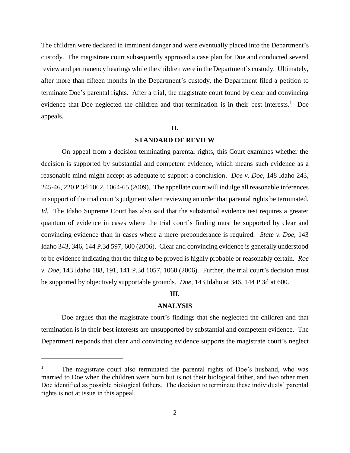The children were declared in imminent danger and were eventually placed into the Department's custody. The magistrate court subsequently approved a case plan for Doe and conducted several review and permanency hearings while the children were in the Department's custody. Ultimately, after more than fifteen months in the Department's custody, the Department filed a petition to terminate Doe's parental rights. After a trial, the magistrate court found by clear and convincing evidence that Doe neglected the children and that termination is in their best interests.<sup>1</sup> Doe appeals.

#### **II.**

# **STANDARD OF REVIEW**

On appeal from a decision terminating parental rights, this Court examines whether the decision is supported by substantial and competent evidence, which means such evidence as a reasonable mind might accept as adequate to support a conclusion. *Doe v. Doe*, 148 Idaho 243, 245-46, 220 P.3d 1062, 1064-65 (2009). The appellate court will indulge all reasonable inferences in support of the trial court's judgment when reviewing an order that parental rights be terminated. *Id.* The Idaho Supreme Court has also said that the substantial evidence test requires a greater quantum of evidence in cases where the trial court's finding must be supported by clear and convincing evidence than in cases where a mere preponderance is required. *State v. Doe*, 143 Idaho 343, 346, 144 P.3d 597, 600 (2006). Clear and convincing evidence is generally understood to be evidence indicating that the thing to be proved is highly probable or reasonably certain. *Roe v. Doe*, 143 Idaho 188, 191, 141 P.3d 1057, 1060 (2006). Further, the trial court's decision must be supported by objectively supportable grounds. *Doe*, 143 Idaho at 346, 144 P.3d at 600.

# **III.**

### **ANALYSIS**

Doe argues that the magistrate court's findings that she neglected the children and that termination is in their best interests are unsupported by substantial and competent evidence. The Department responds that clear and convincing evidence supports the magistrate court's neglect

 $\overline{a}$ 

<sup>&</sup>lt;sup>1</sup> The magistrate court also terminated the parental rights of Doe's husband, who was married to Doe when the children were born but is not their biological father, and two other men Doe identified as possible biological fathers. The decision to terminate these individuals' parental rights is not at issue in this appeal.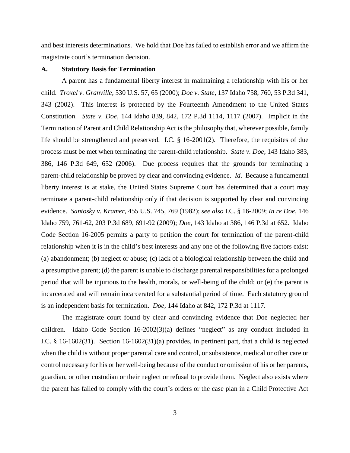and best interests determinations. We hold that Doe has failed to establish error and we affirm the magistrate court's termination decision.

### **A. Statutory Basis for Termination**

A parent has a fundamental liberty interest in maintaining a relationship with his or her child. *Troxel v. Granville*, 530 U.S. 57, 65 (2000); *Doe v. State*, 137 Idaho 758, 760, 53 P.3d 341, 343 (2002). This interest is protected by the Fourteenth Amendment to the United States Constitution. *State v. Doe*, 144 Idaho 839, 842, 172 P.3d 1114, 1117 (2007). Implicit in the Termination of Parent and Child Relationship Act is the philosophy that, wherever possible, family life should be strengthened and preserved. I.C. § 16-2001(2). Therefore, the requisites of due process must be met when terminating the parent-child relationship. *State v. Doe*, 143 Idaho 383, 386, 146 P.3d 649, 652 (2006). Due process requires that the grounds for terminating a parent-child relationship be proved by clear and convincing evidence. *Id*. Because a fundamental liberty interest is at stake, the United States Supreme Court has determined that a court may terminate a parent-child relationship only if that decision is supported by clear and convincing evidence. *Santosky v. Kramer*, 455 U.S. 745, 769 (1982); *see also* I.C. § 16-2009; *In re Doe*, 146 Idaho 759, 761-62, 203 P.3d 689, 691-92 (2009); *Doe*, 143 Idaho at 386, 146 P.3d at 652. Idaho Code Section 16-2005 permits a party to petition the court for termination of the parent-child relationship when it is in the child's best interests and any one of the following five factors exist: (a) abandonment; (b) neglect or abuse; (c) lack of a biological relationship between the child and a presumptive parent; (d) the parent is unable to discharge parental responsibilities for a prolonged period that will be injurious to the health, morals, or well-being of the child; or (e) the parent is incarcerated and will remain incarcerated for a substantial period of time. Each statutory ground is an independent basis for termination. *Doe*, 144 Idaho at 842, 172 P.3d at 1117.

The magistrate court found by clear and convincing evidence that Doe neglected her children. Idaho Code Section 16-2002(3)(a) defines "neglect" as any conduct included in I.C. § 16-1602(31). Section 16-1602(31)(a) provides, in pertinent part, that a child is neglected when the child is without proper parental care and control, or subsistence, medical or other care or control necessary for his or her well-being because of the conduct or omission of his or her parents, guardian, or other custodian or their neglect or refusal to provide them. Neglect also exists where the parent has failed to comply with the court's orders or the case plan in a Child Protective Act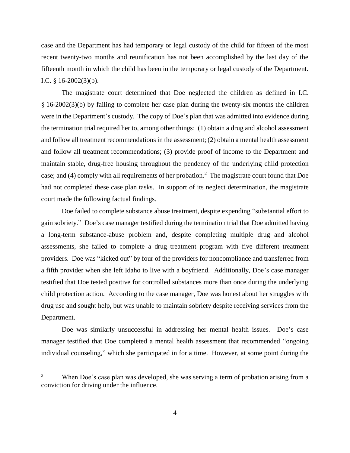case and the Department has had temporary or legal custody of the child for fifteen of the most recent twenty-two months and reunification has not been accomplished by the last day of the fifteenth month in which the child has been in the temporary or legal custody of the Department. I.C. § 16-2002(3)(b).

The magistrate court determined that Doe neglected the children as defined in I.C. § 16-2002(3)(b) by failing to complete her case plan during the twenty-six months the children were in the Department's custody. The copy of Doe's plan that was admitted into evidence during the termination trial required her to, among other things: (1) obtain a drug and alcohol assessment and follow all treatment recommendations in the assessment; (2) obtain a mental health assessment and follow all treatment recommendations; (3) provide proof of income to the Department and maintain stable, drug-free housing throughout the pendency of the underlying child protection case; and (4) comply with all requirements of her probation.<sup>2</sup> The magistrate court found that Doe had not completed these case plan tasks. In support of its neglect determination, the magistrate court made the following factual findings.

Doe failed to complete substance abuse treatment, despite expending "substantial effort to gain sobriety." Doe's case manager testified during the termination trial that Doe admitted having a long-term substance-abuse problem and, despite completing multiple drug and alcohol assessments, she failed to complete a drug treatment program with five different treatment providers. Doe was "kicked out" by four of the providers for noncompliance and transferred from a fifth provider when she left Idaho to live with a boyfriend. Additionally, Doe's case manager testified that Doe tested positive for controlled substances more than once during the underlying child protection action. According to the case manager, Doe was honest about her struggles with drug use and sought help, but was unable to maintain sobriety despite receiving services from the Department.

Doe was similarly unsuccessful in addressing her mental health issues. Doe's case manager testified that Doe completed a mental health assessment that recommended "ongoing individual counseling," which she participated in for a time. However, at some point during the

 $\overline{a}$ 

<sup>&</sup>lt;sup>2</sup> When Doe's case plan was developed, she was serving a term of probation arising from a conviction for driving under the influence.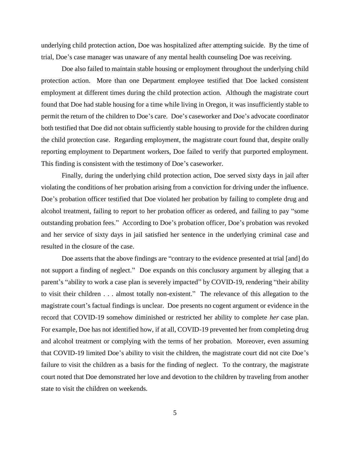underlying child protection action, Doe was hospitalized after attempting suicide. By the time of trial, Doe's case manager was unaware of any mental health counseling Doe was receiving.

Doe also failed to maintain stable housing or employment throughout the underlying child protection action. More than one Department employee testified that Doe lacked consistent employment at different times during the child protection action. Although the magistrate court found that Doe had stable housing for a time while living in Oregon, it was insufficiently stable to permit the return of the children to Doe's care. Doe's caseworker and Doe's advocate coordinator both testified that Doe did not obtain sufficiently stable housing to provide for the children during the child protection case. Regarding employment, the magistrate court found that, despite orally reporting employment to Department workers, Doe failed to verify that purported employment. This finding is consistent with the testimony of Doe's caseworker.

Finally, during the underlying child protection action, Doe served sixty days in jail after violating the conditions of her probation arising from a conviction for driving under the influence. Doe's probation officer testified that Doe violated her probation by failing to complete drug and alcohol treatment, failing to report to her probation officer as ordered, and failing to pay "some outstanding probation fees." According to Doe's probation officer, Doe's probation was revoked and her service of sixty days in jail satisfied her sentence in the underlying criminal case and resulted in the closure of the case.

Doe asserts that the above findings are "contrary to the evidence presented at trial [and] do not support a finding of neglect." Doe expands on this conclusory argument by alleging that a parent's "ability to work a case plan is severely impacted" by COVID-19, rendering "their ability to visit their children . . . almost totally non-existent." The relevance of this allegation to the magistrate court's factual findings is unclear. Doe presents no cogent argument or evidence in the record that COVID-19 somehow diminished or restricted her ability to complete *her* case plan. For example, Doe has not identified how, if at all, COVID-19 prevented her from completing drug and alcohol treatment or complying with the terms of her probation. Moreover, even assuming that COVID-19 limited Doe's ability to visit the children, the magistrate court did not cite Doe's failure to visit the children as a basis for the finding of neglect. To the contrary, the magistrate court noted that Doe demonstrated her love and devotion to the children by traveling from another state to visit the children on weekends.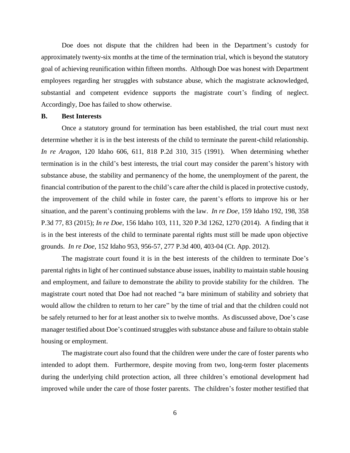Doe does not dispute that the children had been in the Department's custody for approximately twenty-six months at the time of the termination trial, which is beyond the statutory goal of achieving reunification within fifteen months. Although Doe was honest with Department employees regarding her struggles with substance abuse, which the magistrate acknowledged, substantial and competent evidence supports the magistrate court's finding of neglect. Accordingly, Doe has failed to show otherwise.

## **B. Best Interests**

Once a statutory ground for termination has been established, the trial court must next determine whether it is in the best interests of the child to terminate the parent-child relationship. *In re Aragon*, 120 Idaho 606, 611, 818 P.2d 310, 315 (1991). When determining whether termination is in the child's best interests, the trial court may consider the parent's history with substance abuse, the stability and permanency of the home, the unemployment of the parent, the financial contribution of the parent to the child's care after the child is placed in protective custody, the improvement of the child while in foster care, the parent's efforts to improve his or her situation, and the parent's continuing problems with the law. *In re Doe*, 159 Idaho 192, 198, 358 P.3d 77, 83 (2015); *In re Doe*, 156 Idaho 103, 111, 320 P.3d 1262, 1270 (2014). A finding that it is in the best interests of the child to terminate parental rights must still be made upon objective grounds. *In re Doe*, 152 Idaho 953, 956-57, 277 P.3d 400, 403-04 (Ct. App. 2012).

The magistrate court found it is in the best interests of the children to terminate Doe's parental rights in light of her continued substance abuse issues, inability to maintain stable housing and employment, and failure to demonstrate the ability to provide stability for the children. The magistrate court noted that Doe had not reached "a bare minimum of stability and sobriety that would allow the children to return to her care" by the time of trial and that the children could not be safely returned to her for at least another six to twelve months. As discussed above, Doe's case manager testified about Doe's continued struggles with substance abuse and failure to obtain stable housing or employment.

The magistrate court also found that the children were under the care of foster parents who intended to adopt them. Furthermore, despite moving from two, long-term foster placements during the underlying child protection action, all three children's emotional development had improved while under the care of those foster parents. The children's foster mother testified that